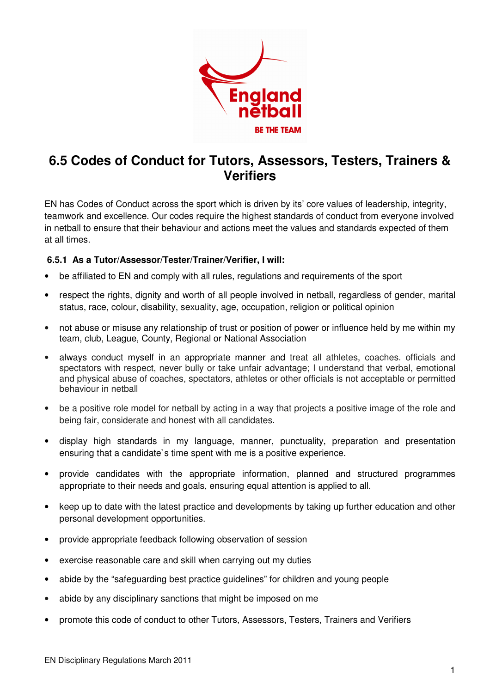

## **6.5 Codes of Conduct for Tutors, Assessors, Testers, Trainers & Verifiers**

EN has Codes of Conduct across the sport which is driven by its' core values of leadership, integrity, teamwork and excellence. Our codes require the highest standards of conduct from everyone involved in netball to ensure that their behaviour and actions meet the values and standards expected of them at all times.

## **6.5.1 As a Tutor/Assessor/Tester/Trainer/Verifier, I will:**

- be affiliated to EN and comply with all rules, regulations and requirements of the sport
- respect the rights, dignity and worth of all people involved in netball, regardless of gender, marital status, race, colour, disability, sexuality, age, occupation, religion or political opinion
- not abuse or misuse any relationship of trust or position of power or influence held by me within my team, club, League, County, Regional or National Association
- always conduct myself in an appropriate manner and treat all athletes, coaches. officials and spectators with respect, never bully or take unfair advantage; I understand that verbal, emotional and physical abuse of coaches, spectators, athletes or other officials is not acceptable or permitted behaviour in netball
- be a positive role model for netball by acting in a way that projects a positive image of the role and being fair, considerate and honest with all candidates.
- display high standards in my language, manner, punctuality, preparation and presentation ensuring that a candidate`s time spent with me is a positive experience.
- provide candidates with the appropriate information, planned and structured programmes appropriate to their needs and goals, ensuring equal attention is applied to all.
- keep up to date with the latest practice and developments by taking up further education and other personal development opportunities.
- provide appropriate feedback following observation of session
- exercise reasonable care and skill when carrying out my duties
- abide by the "safeguarding best practice guidelines" for children and young people
- abide by any disciplinary sanctions that might be imposed on me
- promote this code of conduct to other Tutors, Assessors, Testers, Trainers and Verifiers